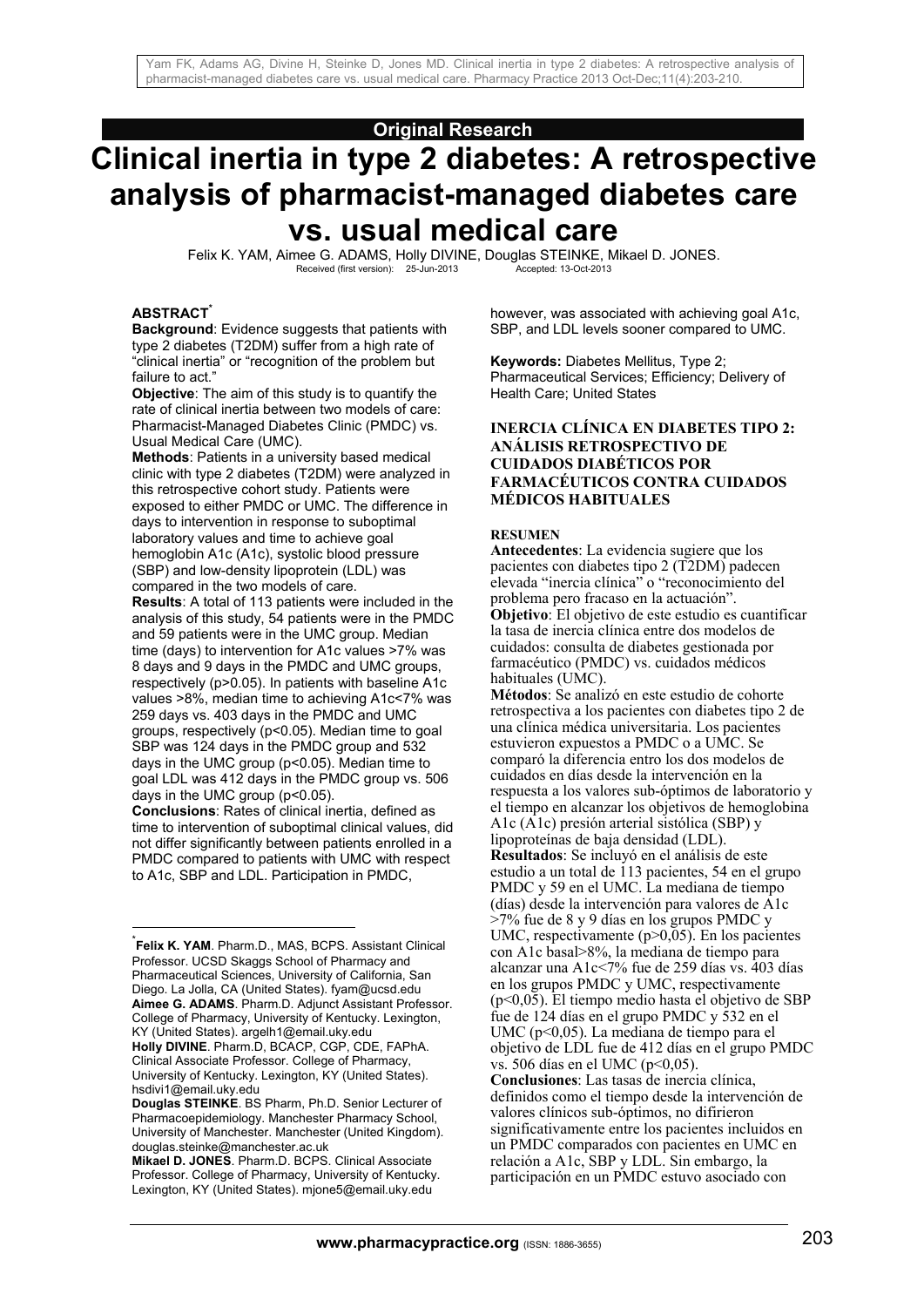## **Original Research**

# **Clinical inertia in type 2 diabetes: A retrospective analysis of pharmacist-managed diabetes care vs. usual medical care**

Felix K. YAM, Aimee G. ADAMS, Holly DIVINE, Douglas STEINKE, Mikael D. JONES.<br>Received (first version): 25-Jun-2013<br>Accepted: 13-Oct-2013 Received (first version): 25-Jun-2013

#### **ABSTRACT\***

1

**Background**: Evidence suggests that patients with type 2 diabetes (T2DM) suffer from a high rate of "clinical inertia" or "recognition of the problem but failure to act."

**Objective**: The aim of this study is to quantify the rate of clinical inertia between two models of care: Pharmacist-Managed Diabetes Clinic (PMDC) vs. Usual Medical Care (UMC).

**Methods**: Patients in a university based medical clinic with type 2 diabetes (T2DM) were analyzed in this retrospective cohort study. Patients were exposed to either PMDC or UMC. The difference in days to intervention in response to suboptimal laboratory values and time to achieve goal hemoglobin A1c (A1c), systolic blood pressure (SBP) and low-density lipoprotein (LDL) was compared in the two models of care.

**Results**: A total of 113 patients were included in the analysis of this study, 54 patients were in the PMDC and 59 patients were in the UMC group. Median time (days) to intervention for A1c values >7% was 8 days and 9 days in the PMDC and UMC groups, respectively (p>0.05). In patients with baseline A1c values >8%, median time to achieving A1c<7% was 259 days vs. 403 days in the PMDC and UMC groups, respectively (p<0.05). Median time to goal SBP was 124 days in the PMDC group and 532 days in the UMC group (p<0.05). Median time to goal LDL was 412 days in the PMDC group vs. 506 days in the UMC group (p<0.05). **Conclusions**: Rates of clinical inertia, defined as time to intervention of suboptimal clinical values, did not differ significantly between patients enrolled in a

PMDC compared to patients with UMC with respect to A1c, SBP and LDL. Participation in PMDC,

\* **Felix K. YAM**. Pharm.D., MAS, BCPS. Assistant Clinical Professor. UCSD Skaggs School of Pharmacy and Pharmaceutical Sciences, University of California, San Diego. La Jolla, CA (United States). fyam@ucsd.edu **Aimee G. ADAMS**. Pharm.D. Adjunct Assistant Professor. College of Pharmacy, University of Kentucky. Lexington, KY (United States). argelh1@email.uky.edu

**Holly DIVINE**. Pharm.D, BCACP, CGP, CDE, FAPhA. Clinical Associate Professor. College of Pharmacy, University of Kentucky. Lexington, KY (United States). hsdivi1@email.uky.edu

however, was associated with achieving goal A1c, SBP, and LDL levels sooner compared to UMC.

**Keywords:** Diabetes Mellitus, Type 2; Pharmaceutical Services; Efficiency; Delivery of Health Care; United States

#### **INERCIA CLÍNICA EN DIABETES TIPO 2: ANÁLISIS RETROSPECTIVO DE CUIDADOS DIABÉTICOS POR FARMACÉUTICOS CONTRA CUIDADOS MÉDICOS HABITUALES**

#### **RESUMEN**

**Antecedentes**: La evidencia sugiere que los pacientes con diabetes tipo 2 (T2DM) padecen elevada "inercia clínica" o "reconocimiento del problema pero fracaso en la actuación". **Objetivo**: El objetivo de este estudio es cuantificar la tasa de inercia clínica entre dos modelos de cuidados: consulta de diabetes gestionada por farmacéutico (PMDC) vs. cuidados médicos habituales (UMC).

**Métodos**: Se analizó en este estudio de cohorte retrospectiva a los pacientes con diabetes tipo 2 de una clínica médica universitaria. Los pacientes estuvieron expuestos a PMDC o a UMC. Se comparó la diferencia entro los dos modelos de cuidados en días desde la intervención en la respuesta a los valores sub-óptimos de laboratorio y el tiempo en alcanzar los objetivos de hemoglobina A1c (A1c) presión arterial sistólica (SBP) y lipoproteínas de baja densidad (LDL). **Resultados**: Se incluyó en el análisis de este estudio a un total de 113 pacientes, 54 en el grupo PMDC y 59 en el UMC. La mediana de tiempo (días) desde la intervención para valores de A1c >7% fue de 8 y 9 días en los grupos PMDC y UMC, respectivamente (p>0,05). En los pacientes con A1c basal>8%, la mediana de tiempo para alcanzar una A1c<7% fue de 259 días vs. 403 días en los grupos PMDC y UMC, respectivamente (p<0,05). El tiempo medio hasta el objetivo de SBP fue de 124 días en el grupo PMDC y 532 en el UMC (p<0,05). La mediana de tiempo para el objetivo de LDL fue de 412 días en el grupo PMDC vs. 506 días en el UMC (p<0,05). **Conclusiones**: Las tasas de inercia clínica, definidos como el tiempo desde la intervención de valores clínicos sub-óptimos, no difirieron

significativamente entre los pacientes incluidos en un PMDC comparados con pacientes en UMC en relación a A1c, SBP y LDL. Sin embargo, la participación en un PMDC estuvo asociado con

**Douglas STEINKE**. BS Pharm, Ph.D. Senior Lecturer of Pharmacoepidemiology. Manchester Pharmacy School, University of Manchester. Manchester (United Kingdom). douglas.steinke@manchester.ac.uk

**Mikael D. JONES**. Pharm.D. BCPS. Clinical Associate Professor. College of Pharmacy, University of Kentucky. Lexington, KY (United States). mjone5@email.uky.edu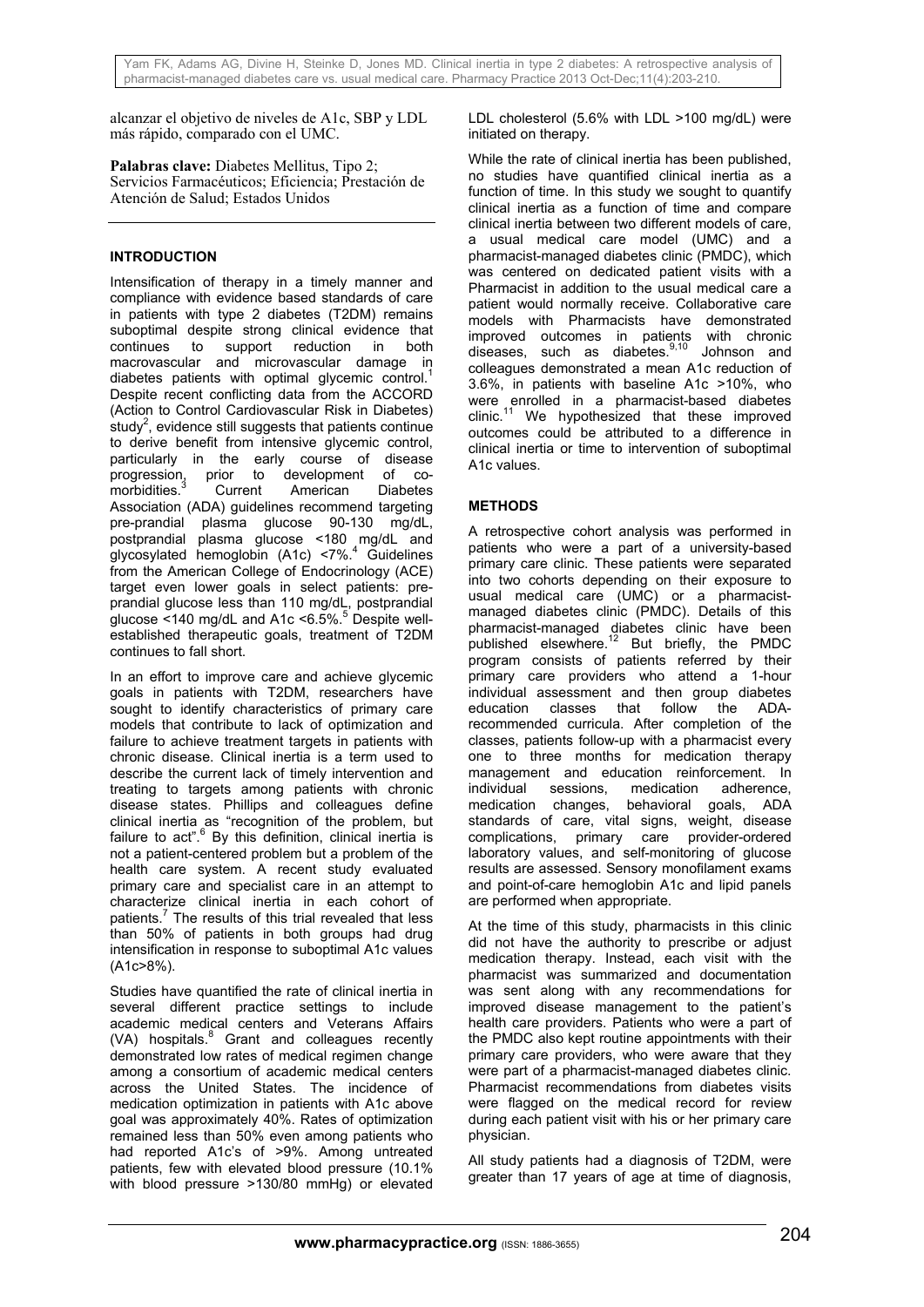alcanzar el objetivo de niveles de A1c, SBP y LDL más rápido, comparado con el UMC.

**Palabras clave:** Diabetes Mellitus, Tipo 2; Servicios Farmacéuticos; Eficiencia; Prestación de Atención de Salud; Estados Unidos

## **INTRODUCTION**

Intensification of therapy in a timely manner and compliance with evidence based standards of care in patients with type 2 diabetes (T2DM) remains suboptimal despite strong clinical evidence that continues to support reduction in both macrovascular and microvascular damage in diabetes patients with optimal glycemic control.<sup>1</sup> Despite recent conflicting data from the ACCORD (Action to Control Cardiovascular Risk in Diabetes) study<sup>2</sup>, evidence still suggests that patients continue to derive benefit from intensive glycemic control, particularly in the early course of disease<br>progression, prior to development of coprior to development of comorbidities. Current American Diabetes Association (ADA) guidelines recommend targeting pre-prandial plasma glucose 90-130 mg/dL, postprandial plasma glucose <180 mg/dL and glycosylated hemoglobin (A1c) <7%.<sup>4</sup> Guidelines from the American College of Endocrinology (ACE) target even lower goals in select patients: preprandial glucose less than 110 mg/dL, postprandial glucose <140 mg/dL and A1c <6.5%.<sup>5</sup> Despite wellestablished therapeutic goals, treatment of T2DM continues to fall short.

In an effort to improve care and achieve glycemic goals in patients with T2DM, researchers have sought to identify characteristics of primary care models that contribute to lack of optimization and failure to achieve treatment targets in patients with chronic disease. Clinical inertia is a term used to describe the current lack of timely intervention and treating to targets among patients with chronic disease states. Phillips and colleagues define clinical inertia as "recognition of the problem, but failure to act".<sup>6</sup> By this definition, clinical inertia is not a patient-centered problem but a problem of the health care system. A recent study evaluated primary care and specialist care in an attempt to characterize clinical inertia in each cohort of patients.<sup>7</sup> The results of this trial revealed that less than 50% of patients in both groups had drug intensification in response to suboptimal A1c values (A1c>8%).

Studies have quantified the rate of clinical inertia in several different practice settings to include academic medical centers and Veterans Affairs (VA) hospitals.<sup>8</sup> Grant and colleagues recently demonstrated low rates of medical regimen change among a consortium of academic medical centers across the United States. The incidence of medication optimization in patients with A1c above goal was approximately 40%. Rates of optimization remained less than 50% even among patients who had reported A1c's of >9%. Among untreated patients, few with elevated blood pressure (10.1% with blood pressure >130/80 mmHg) or elevated LDL cholesterol (5.6% with LDL >100 mg/dL) were initiated on therapy.

While the rate of clinical inertia has been published, no studies have quantified clinical inertia as a function of time. In this study we sought to quantify clinical inertia as a function of time and compare clinical inertia between two different models of care, a usual medical care model (UMC) and a pharmacist-managed diabetes clinic (PMDC), which was centered on dedicated patient visits with a Pharmacist in addition to the usual medical care a patient would normally receive. Collaborative care models with Pharmacists have demonstrated improved outcomes in patients with chronic diseases, such as diabetes.9,10 Johnson and colleagues demonstrated a mean A1c reduction of 3.6%, in patients with baseline A1c >10%, who were enrolled in a pharmacist-based diabetes clinic.11 We hypothesized that these improved outcomes could be attributed to a difference in clinical inertia or time to intervention of suboptimal A1c values.

# **METHODS**

A retrospective cohort analysis was performed in patients who were a part of a university-based primary care clinic. These patients were separated into two cohorts depending on their exposure to usual medical care (UMC) or a pharmacistmanaged diabetes clinic (PMDC). Details of this pharmacist-managed diabetes clinic have been published elsewhere.<sup>12</sup> But briefly, the PMDC program consists of patients referred by their primary care providers who attend a 1-hour individual assessment and then group diabetes education classes that follow the ADArecommended curricula. After completion of the classes, patients follow-up with a pharmacist every one to three months for medication therapy management and education reinforcement. In individual sessions, medication adherence, medication changes, behavioral goals, ADA standards of care, vital signs, weight, disease complications, primary care provider-ordered laboratory values, and self-monitoring of glucose results are assessed. Sensory monofilament exams and point-of-care hemoglobin A1c and lipid panels are performed when appropriate.

At the time of this study, pharmacists in this clinic did not have the authority to prescribe or adjust medication therapy. Instead, each visit with the pharmacist was summarized and documentation was sent along with any recommendations for improved disease management to the patient's health care providers. Patients who were a part of the PMDC also kept routine appointments with their primary care providers, who were aware that they were part of a pharmacist-managed diabetes clinic. Pharmacist recommendations from diabetes visits were flagged on the medical record for review during each patient visit with his or her primary care physician.

All study patients had a diagnosis of T2DM, were greater than 17 years of age at time of diagnosis,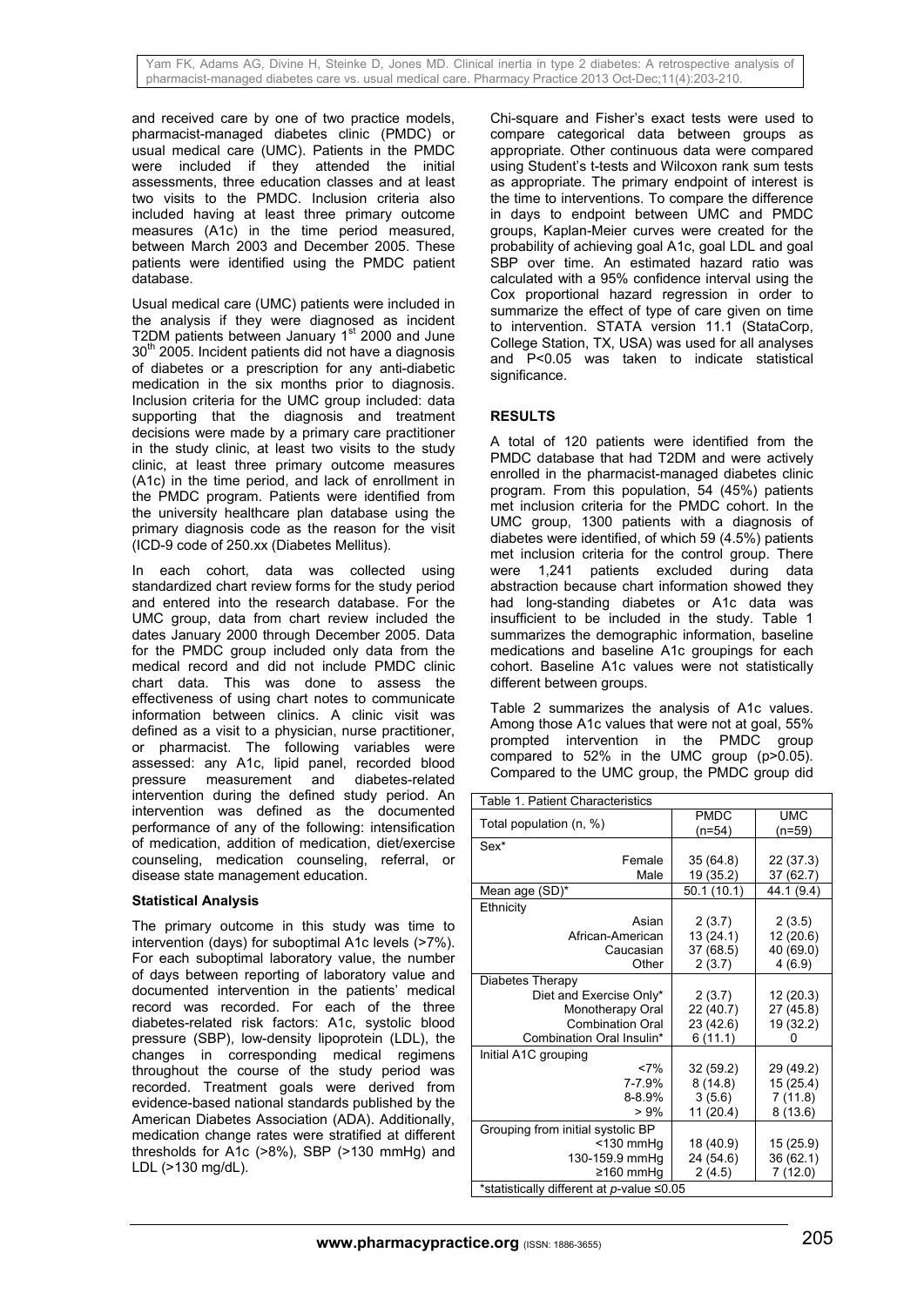and received care by one of two practice models, pharmacist-managed diabetes clinic (PMDC) or usual medical care (UMC). Patients in the PMDC were included if they attended the initial assessments, three education classes and at least two visits to the PMDC. Inclusion criteria also included having at least three primary outcome measures (A1c) in the time period measured, between March 2003 and December 2005. These patients were identified using the PMDC patient .<br>database.

Usual medical care (UMC) patients were included in the analysis if they were diagnosed as incident T2DM patients between January 1<sup>st</sup> 2000 and June  $30<sup>th</sup>$  2005. Incident patients did not have a diagnosis of diabetes or a prescription for any anti-diabetic medication in the six months prior to diagnosis. Inclusion criteria for the UMC group included: data supporting that the diagnosis and treatment decisions were made by a primary care practitioner in the study clinic, at least two visits to the study clinic, at least three primary outcome measures (A1c) in the time period, and lack of enrollment in the PMDC program. Patients were identified from the university healthcare plan database using the primary diagnosis code as the reason for the visit (ICD-9 code of 250.xx (Diabetes Mellitus).

In each cohort, data was collected using standardized chart review forms for the study period and entered into the research database. For the UMC group, data from chart review included the dates January 2000 through December 2005. Data for the PMDC group included only data from the medical record and did not include PMDC clinic chart data. This was done to assess the effectiveness of using chart notes to communicate information between clinics. A clinic visit was defined as a visit to a physician, nurse practitioner, or pharmacist. The following variables were assessed: any A1c, lipid panel, recorded blood pressure measurement and diabetes-related intervention during the defined study period. An intervention was defined as the documented performance of any of the following: intensification of medication, addition of medication, diet/exercise counseling, medication counseling, referral, or disease state management education.

#### **Statistical Analysis**

The primary outcome in this study was time to intervention (days) for suboptimal A1c levels (>7%). For each suboptimal laboratory value, the number of days between reporting of laboratory value and documented intervention in the patients' medical record was recorded. For each of the three diabetes-related risk factors: A1c, systolic blood pressure (SBP), low-density lipoprotein (LDL), the changes in corresponding medical regimens throughout the course of the study period was recorded. Treatment goals were derived from evidence-based national standards published by the American Diabetes Association (ADA). Additionally, medication change rates were stratified at different thresholds for A1c (>8%), SBP (>130 mmHg) and LDL (>130 mg/dL).

Chi-square and Fisher's exact tests were used to compare categorical data between groups as appropriate. Other continuous data were compared using Student's t-tests and Wilcoxon rank sum tests as appropriate. The primary endpoint of interest is the time to interventions. To compare the difference in days to endpoint between UMC and PMDC groups, Kaplan-Meier curves were created for the probability of achieving goal A1c, goal LDL and goal SBP over time. An estimated hazard ratio was calculated with a 95% confidence interval using the Cox proportional hazard regression in order to summarize the effect of type of care given on time to intervention. STATA version 11.1 (StataCorp, College Station, TX, USA) was used for all analyses and P<0.05 was taken to indicate statistical significance.

# **RESULTS**

A total of 120 patients were identified from the PMDC database that had T2DM and were actively enrolled in the pharmacist-managed diabetes clinic program. From this population, 54 (45%) patients met inclusion criteria for the PMDC cohort. In the UMC group, 1300 patients with a diagnosis of diabetes were identified, of which 59 (4.5%) patients met inclusion criteria for the control group. There were 1,241 patients excluded during data abstraction because chart information showed they had long-standing diabetes or A1c data was insufficient to be included in the study. Table 1 summarizes the demographic information, baseline medications and baseline A1c groupings for each cohort. Baseline A1c values were not statistically different between groups.

Table 2 summarizes the analysis of A1c values. Among those A1c values that were not at goal, 55% prompted intervention in the PMDC group compared to  $52\%$  in the UMC group  $(p>0.05)$ . Compared to the UMC group, the PMDC group did

| Table 1. Patient Characteristics          |             |            |  |  |
|-------------------------------------------|-------------|------------|--|--|
| Total population (n, %)                   | <b>PMDC</b> | <b>UMC</b> |  |  |
|                                           | $(n=54)$    | (n=59)     |  |  |
| Sex*                                      |             |            |  |  |
| Female                                    | 35 (64.8)   | 22 (37.3)  |  |  |
| Male                                      | 19 (35.2)   | 37 (62.7)  |  |  |
| Mean age (SD)*                            | 50.1(10.1)  | 44.1 (9.4) |  |  |
| Ethnicity                                 |             |            |  |  |
| Asian                                     | 2(3.7)      | 2(3.5)     |  |  |
| African-American                          | 13 (24.1)   | 12 (20.6)  |  |  |
| Caucasian                                 | 37 (68.5)   | 40 (69.0)  |  |  |
| Other                                     | 2 (3.7)     | 4(6.9)     |  |  |
| Diabetes Therapy                          |             |            |  |  |
| Diet and Exercise Only*                   | 2(3.7)      | 12 (20.3)  |  |  |
| Monotherapy Oral                          | 22 (40.7)   | 27 (45.8)  |  |  |
| <b>Combination Oral</b>                   | 23 (42.6)   | 19 (32.2)  |  |  |
| Combination Oral Insulin*                 | 6(11.1)     |            |  |  |
| Initial A1C grouping                      |             |            |  |  |
| <7%                                       | 32 (59.2)   | 29 (49.2)  |  |  |
| 7-7.9%                                    | 8(14.8)     | 15 (25.4)  |  |  |
| 8-8.9%                                    | 3(5.6)      | 7(11.8)    |  |  |
| >9%                                       | 11 (20.4)   | 8(13.6)    |  |  |
| Grouping from initial systolic BP         |             |            |  |  |
| $<$ 130 mmHg                              | 18 (40.9)   | 15 (25.9)  |  |  |
| 130-159.9 mmHg                            | 24 (54.6)   | 36 (62.1)  |  |  |
| ≥160 mmHq                                 | 2(4.5)      | 7(12.0)    |  |  |
| *statistically different at p-value ≤0.05 |             |            |  |  |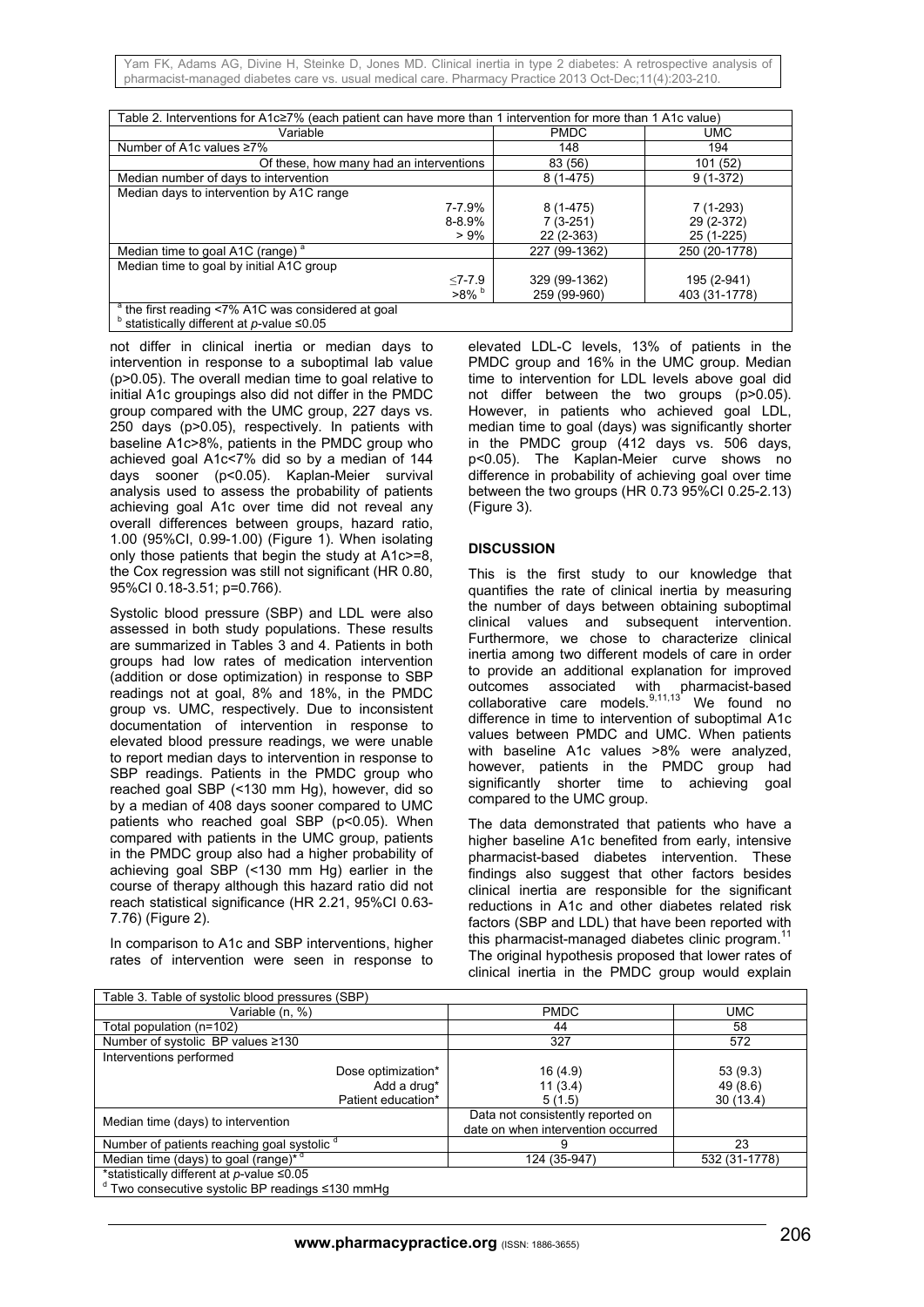Yam FK, Adams AG, Divine H, Steinke D, Jones MD. Clinical inertia in type 2 diabetes: A retrospective analysis of pharmacist-managed diabetes care vs. usual medical care. Pharmacy Practice 2013 Oct-Dec;11(4):203-210.

| Table 2. Interventions for A1c≥7% (each patient can have more than 1 intervention for more than 1 A1c value)                   |               |               |  |  |
|--------------------------------------------------------------------------------------------------------------------------------|---------------|---------------|--|--|
| Variable                                                                                                                       | <b>PMDC</b>   | <b>UMC</b>    |  |  |
| Number of A1c values ≥7%                                                                                                       | 148           | 194           |  |  |
| Of these, how many had an interventions                                                                                        | 83 (56)       | 101(52)       |  |  |
| Median number of days to intervention                                                                                          | $8(1 - 475)$  | $9(1-372)$    |  |  |
| Median days to intervention by A1C range                                                                                       |               |               |  |  |
| 7-7.9%                                                                                                                         | $8(1-475)$    | $7(1-293)$    |  |  |
| $8 - 8.9%$                                                                                                                     | $7(3-251)$    | 29 (2-372)    |  |  |
| $> 9\%$                                                                                                                        | 22 (2-363)    | 25 (1-225)    |  |  |
| Median time to goal A1C (range) <sup>a</sup>                                                                                   | 227 (99-1362) | 250 (20-1778) |  |  |
| Median time to goal by initial A1C group                                                                                       |               |               |  |  |
| $< 7 - 7.9$                                                                                                                    | 329 (99-1362) | 195 (2-941)   |  |  |
| $>8\%$                                                                                                                         | 259 (99-960)  | 403 (31-1778) |  |  |
| <sup>a</sup> the first reading <7% A1C was considered at goal<br><sup>b</sup> statistically different at <i>p</i> -value ≤0.05 |               |               |  |  |
|                                                                                                                                |               |               |  |  |

not differ in clinical inertia or median days to intervention in response to a suboptimal lab value (p>0.05). The overall median time to goal relative to initial A1c groupings also did not differ in the PMDC group compared with the UMC group, 227 days vs. 250 days (p>0.05), respectively. In patients with baseline A1c>8%, patients in the PMDC group who achieved goal A1c<7% did so by a median of 144 days sooner (p<0.05). Kaplan-Meier survival analysis used to assess the probability of patients achieving goal A1c over time did not reveal any overall differences between groups, hazard ratio, 1.00 (95%CI, 0.99-1.00) (Figure 1). When isolating only those patients that begin the study at A1c>=8, the Cox regression was still not significant (HR 0.80, 95%CI 0.18-3.51; p=0.766).

Systolic blood pressure (SBP) and LDL were also assessed in both study populations. These results are summarized in Tables 3 and 4. Patients in both groups had low rates of medication intervention (addition or dose optimization) in response to SBP readings not at goal, 8% and 18%, in the PMDC group vs. UMC, respectively. Due to inconsistent documentation of intervention in response to elevated blood pressure readings, we were unable to report median days to intervention in response to SBP readings. Patients in the PMDC group who reached goal SBP (<130 mm Hg), however, did so by a median of 408 days sooner compared to UMC patients who reached goal SBP (p<0.05). When compared with patients in the UMC group, patients in the PMDC group also had a higher probability of achieving goal SBP (<130 mm Hg) earlier in the course of therapy although this hazard ratio did not reach statistical significance (HR 2.21, 95%CI 0.63- 7.76) (Figure 2).

In comparison to A1c and SBP interventions, higher rates of intervention were seen in response to

elevated LDL-C levels, 13% of patients in the PMDC group and 16% in the UMC group. Median time to intervention for LDL levels above goal did not differ between the two groups (p>0.05). However, in patients who achieved goal LDL, median time to goal (days) was significantly shorter in the PMDC group (412 days vs. 506 days, p<0.05). The Kaplan-Meier curve shows no difference in probability of achieving goal over time between the two groups (HR 0.73 95%CI 0.25-2.13) (Figure 3).

## **DISCUSSION**

This is the first study to our knowledge that quantifies the rate of clinical inertia by measuring the number of days between obtaining suboptimal clinical values and subsequent intervention. Furthermore, we chose to characterize clinical inertia among two different models of care in order to provide an additional explanation for improved outcomes associated with pharmacist-based collaborative care models. $9,11,13$  We found no difference in time to intervention of suboptimal A1c values between PMDC and UMC. When patients with baseline A1c values >8% were analyzed, however, patients in the PMDC group had significantly shorter time to achieving goal compared to the UMC group.

The data demonstrated that patients who have a higher baseline A1c benefited from early, intensive pharmacist-based diabetes intervention. These findings also suggest that other factors besides clinical inertia are responsible for the significant reductions in A1c and other diabetes related risk factors (SBP and LDL) that have been reported with this pharmacist-managed diabetes clinic program.<sup>11</sup> The original hypothesis proposed that lower rates of clinical inertia in the PMDC group would explain

| Table 3. Table of systolic blood pressures (SBP)         |                                                                         |               |  |  |
|----------------------------------------------------------|-------------------------------------------------------------------------|---------------|--|--|
| Variable (n, %)                                          | <b>PMDC</b>                                                             | UMC           |  |  |
| Total population (n=102)                                 | 44                                                                      | 58            |  |  |
| Number of systolic BP values ≥130                        | 327                                                                     | 572           |  |  |
| Interventions performed                                  |                                                                         |               |  |  |
| Dose optimization*                                       | 16(4.9)                                                                 | 53(9.3)       |  |  |
| Add a drug*                                              | 11(3.4)                                                                 | 49 (8.6)      |  |  |
| Patient education*                                       | 5(1.5)                                                                  | 30(13.4)      |  |  |
| Median time (days) to intervention                       | Data not consistently reported on<br>date on when intervention occurred |               |  |  |
| Number of patients reaching goal systolic <sup>o</sup>   |                                                                         | 23            |  |  |
| Median time (days) to goal (range) <sup>* d</sup>        | 124 (35-947)                                                            | 532 (31-1778) |  |  |
| *statistically different at $p$ -value $\leq 0.05$       |                                                                         |               |  |  |
| $d$ Two consecutive systolic BP readings $\leq$ 130 mmHg |                                                                         |               |  |  |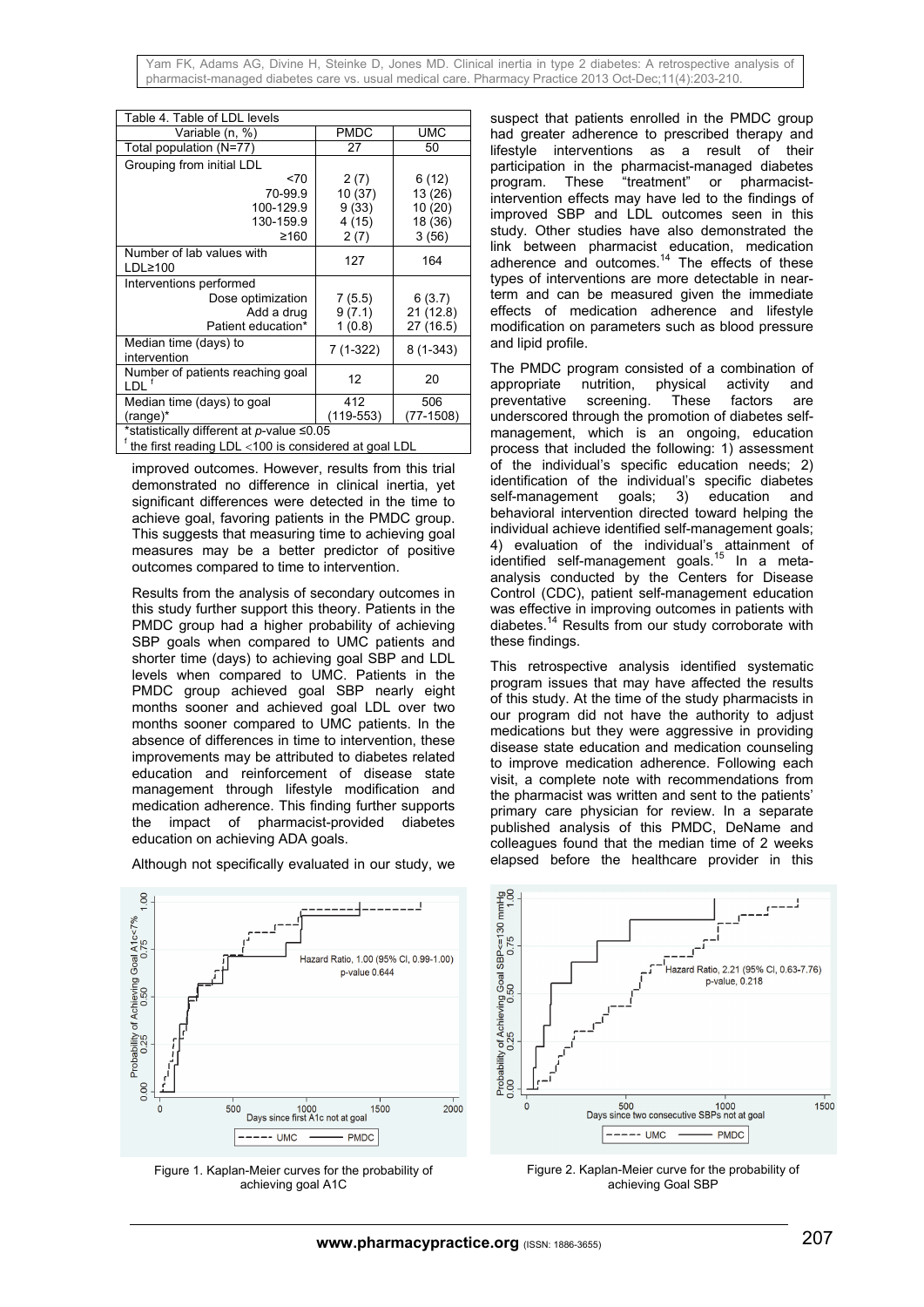Yam FK, Adams AG, Divine H, Steinke D, Jones MD. Clinical inertia in type 2 diabetes: A retrospective analysis of pharmacist-managed diabetes care vs. usual medical care. Pharmacy Practice 2013 Oct-Dec;11(4):203-210.

| Table 4. Table of LDL levels                             |             |            |  |  |
|----------------------------------------------------------|-------------|------------|--|--|
| Variable (n, %)                                          | <b>PMDC</b> | <b>UMC</b> |  |  |
| Total population (N=77)                                  | 27          | 50         |  |  |
| Grouping from initial LDL                                |             |            |  |  |
| < 70                                                     | 2(7)        | 6(12)      |  |  |
| 70-99.9                                                  | 10 (37)     | 13 (26)    |  |  |
| 100-129.9                                                | 9(33)       | 10 (20)    |  |  |
| 130-159.9                                                | 4 (15)      | 18 (36)    |  |  |
| ≥160                                                     | 2(7)        | 3(56)      |  |  |
| Number of lab values with                                | 127         | 164        |  |  |
| $LDL \ge 100$                                            |             |            |  |  |
| Interventions performed                                  |             |            |  |  |
| Dose optimization                                        | 7(5.5)      | 6(3.7)     |  |  |
| Add a drug                                               | 9(7.1)      | 21 (12.8)  |  |  |
| Patient education*                                       | 1(0.8)      | 27 (16.5)  |  |  |
| Median time (days) to<br>intervention                    | 7 (1-322)   | $8(1-343)$ |  |  |
|                                                          |             |            |  |  |
| Number of patients reaching goal<br>וח ו                 | 12          | 20         |  |  |
| Median time (days) to goal                               | 412         | 506        |  |  |
| (range)*                                                 | (119-553)   | (77-1508)  |  |  |
| *statistically different at p-value ≤0.05                |             |            |  |  |
| $f$ the first reading LDL <100 is considered at goal LDL |             |            |  |  |

improved outcomes. However, results from this trial demonstrated no difference in clinical inertia, yet significant differences were detected in the time to achieve goal, favoring patients in the PMDC group. This suggests that measuring time to achieving goal measures may be a better predictor of positive outcomes compared to time to intervention.

Results from the analysis of secondary outcomes in this study further support this theory. Patients in the PMDC group had a higher probability of achieving SBP goals when compared to UMC patients and shorter time (days) to achieving goal SBP and LDL levels when compared to UMC. Patients in the PMDC group achieved goal SBP nearly eight months sooner and achieved goal LDL over two months sooner compared to UMC patients. In the absence of differences in time to intervention, these improvements may be attributed to diabetes related education and reinforcement of disease state management through lifestyle modification and medication adherence. This finding further supports the impact of pharmacist-provided diabetes education on achieving ADA goals.

Although not specifically evaluated in our study, we  $1,00$ 

Probability of Achieving Goal A1c<7%<br>0.25 0.50 0.75 Hazard Ratio, 1.00 (95% Cl. 0.99-1.00) p-value 0.644 0.00 1000<br>Days since first A1c not at goal  $\Omega$ 500 1500  $2000$  $---UMC$ **PMDC** 

Figure 1. Kaplan-Meier curves for the probability of achieving goal A1C

suspect that patients enrolled in the PMDC group had greater adherence to prescribed therapy and lifestyle interventions as a result of their participation in the pharmacist-managed diabetes program. These "treatment" or pharmacistintervention effects may have led to the findings of improved SBP and LDL outcomes seen in this study. Other studies have also demonstrated the link between pharmacist education, medication adherence and outcomes.<sup>14</sup> The effects of these types of interventions are more detectable in nearterm and can be measured given the immediate effects of medication adherence and lifestyle modification on parameters such as blood pressure and lipid profile.

The PMDC program consisted of a combination of appropriate nutrition, physical activity and nutrition, physical activity preventative screening. These factors are underscored through the promotion of diabetes selfmanagement, which is an ongoing, education process that included the following: 1) assessment of the individual's specific education needs; 2) identification of the individual's specific diabetes self-management goals; 3) education and behavioral intervention directed toward helping the individual achieve identified self-management goals; 4) evaluation of the individual's attainment of identified self-management goals.<sup>15</sup> In a metaanalysis conducted by the Centers for Disease Control (CDC), patient self-management education was effective in improving outcomes in patients with diabetes.14 Results from our study corroborate with these findings.

This retrospective analysis identified systematic program issues that may have affected the results of this study. At the time of the study pharmacists in our program did not have the authority to adjust medications but they were aggressive in providing disease state education and medication counseling to improve medication adherence. Following each visit, a complete note with recommendations from the pharmacist was written and sent to the patients' primary care physician for review. In a separate published analysis of this PMDC, DeName and colleagues found that the median time of 2 weeks elapsed before the healthcare provider in this



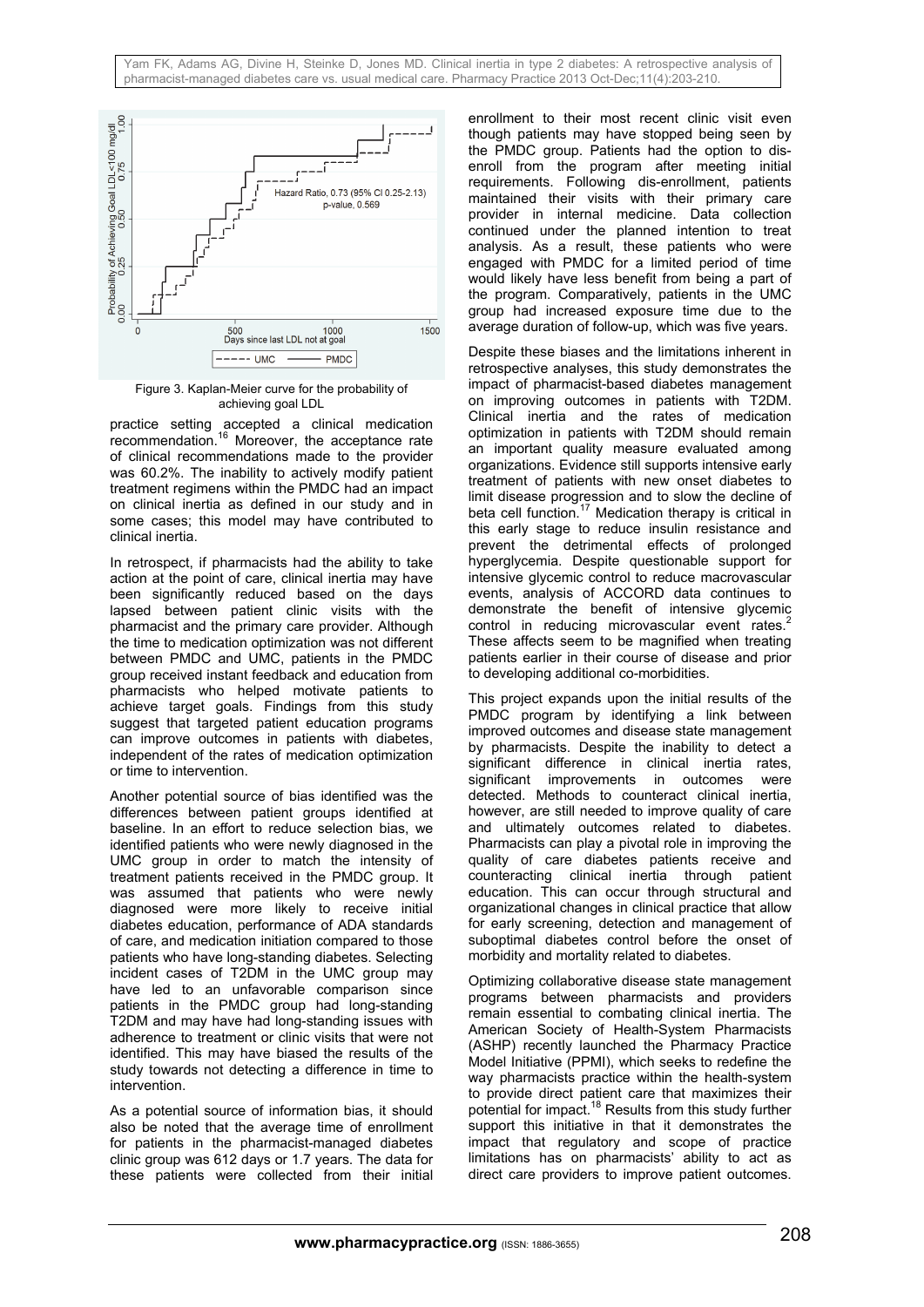

Figure 3. Kaplan-Meier curve for the probability of achieving goal LDL

practice setting accepted a clinical medication recommendation.<sup>16</sup> Moreover, the acceptance rate of clinical recommendations made to the provider was 60.2%. The inability to actively modify patient treatment regimens within the PMDC had an impact on clinical inertia as defined in our study and in some cases; this model may have contributed to clinical inertia.

In retrospect, if pharmacists had the ability to take action at the point of care, clinical inertia may have been significantly reduced based on the days lapsed between patient clinic visits with the pharmacist and the primary care provider. Although the time to medication optimization was not different between PMDC and UMC, patients in the PMDC group received instant feedback and education from pharmacists who helped motivate patients to achieve target goals. Findings from this study suggest that targeted patient education programs can improve outcomes in patients with diabetes, independent of the rates of medication optimization or time to intervention.

Another potential source of bias identified was the differences between patient groups identified at baseline. In an effort to reduce selection bias, we identified patients who were newly diagnosed in the UMC group in order to match the intensity of treatment patients received in the PMDC group. It was assumed that patients who were newly diagnosed were more likely to receive initial diabetes education, performance of ADA standards of care, and medication initiation compared to those patients who have long-standing diabetes. Selecting incident cases of T2DM in the UMC group may have led to an unfavorable comparison since patients in the PMDC group had long-standing T2DM and may have had long-standing issues with adherence to treatment or clinic visits that were not identified. This may have biased the results of the study towards not detecting a difference in time to intervention.

As a potential source of information bias, it should also be noted that the average time of enrollment for patients in the pharmacist-managed diabetes clinic group was 612 days or 1.7 years. The data for these patients were collected from their initial

enrollment to their most recent clinic visit even though patients may have stopped being seen by the PMDC group. Patients had the option to disenroll from the program after meeting initial requirements. Following dis-enrollment, patients maintained their visits with their primary care provider in internal medicine. Data collection continued under the planned intention to treat analysis. As a result, these patients who were engaged with PMDC for a limited period of time would likely have less benefit from being a part of the program. Comparatively, patients in the UMC group had increased exposure time due to the average duration of follow-up, which was five years.

Despite these biases and the limitations inherent in retrospective analyses, this study demonstrates the impact of pharmacist-based diabetes management on improving outcomes in patients with T2DM. Clinical inertia and the rates of medication optimization in patients with T2DM should remain an important quality measure evaluated among organizations. Evidence still supports intensive early treatment of patients with new onset diabetes to limit disease progression and to slow the decline of beta cell function.<sup>17</sup> Medication therapy is critical in this early stage to reduce insulin resistance and prevent the detrimental effects of prolonged hyperglycemia. Despite questionable support for intensive glycemic control to reduce macrovascular events, analysis of ACCORD data continues to demonstrate the benefit of intensive glycemic control in reducing microvascular event rates.<sup>2</sup> These affects seem to be magnified when treating patients earlier in their course of disease and prior to developing additional co-morbidities.

This project expands upon the initial results of the PMDC program by identifying a link between improved outcomes and disease state management by pharmacists. Despite the inability to detect a significant difference in clinical inertia rates, significant improvements in outcomes were detected. Methods to counteract clinical inertia, however, are still needed to improve quality of care and ultimately outcomes related to diabetes. Pharmacists can play a pivotal role in improving the quality of care diabetes patients receive and counteracting clinical inertia through patient education. This can occur through structural and organizational changes in clinical practice that allow for early screening, detection and management of suboptimal diabetes control before the onset of morbidity and mortality related to diabetes.

Optimizing collaborative disease state management programs between pharmacists and providers remain essential to combating clinical inertia. The American Society of Health-System Pharmacists (ASHP) recently launched the Pharmacy Practice Model Initiative (PPMI), which seeks to redefine the way pharmacists practice within the health-system to provide direct patient care that maximizes their potential for impact.<sup>18</sup> Results from this study further support this initiative in that it demonstrates the impact that regulatory and scope of practice limitations has on pharmacists' ability to act as direct care providers to improve patient outcomes.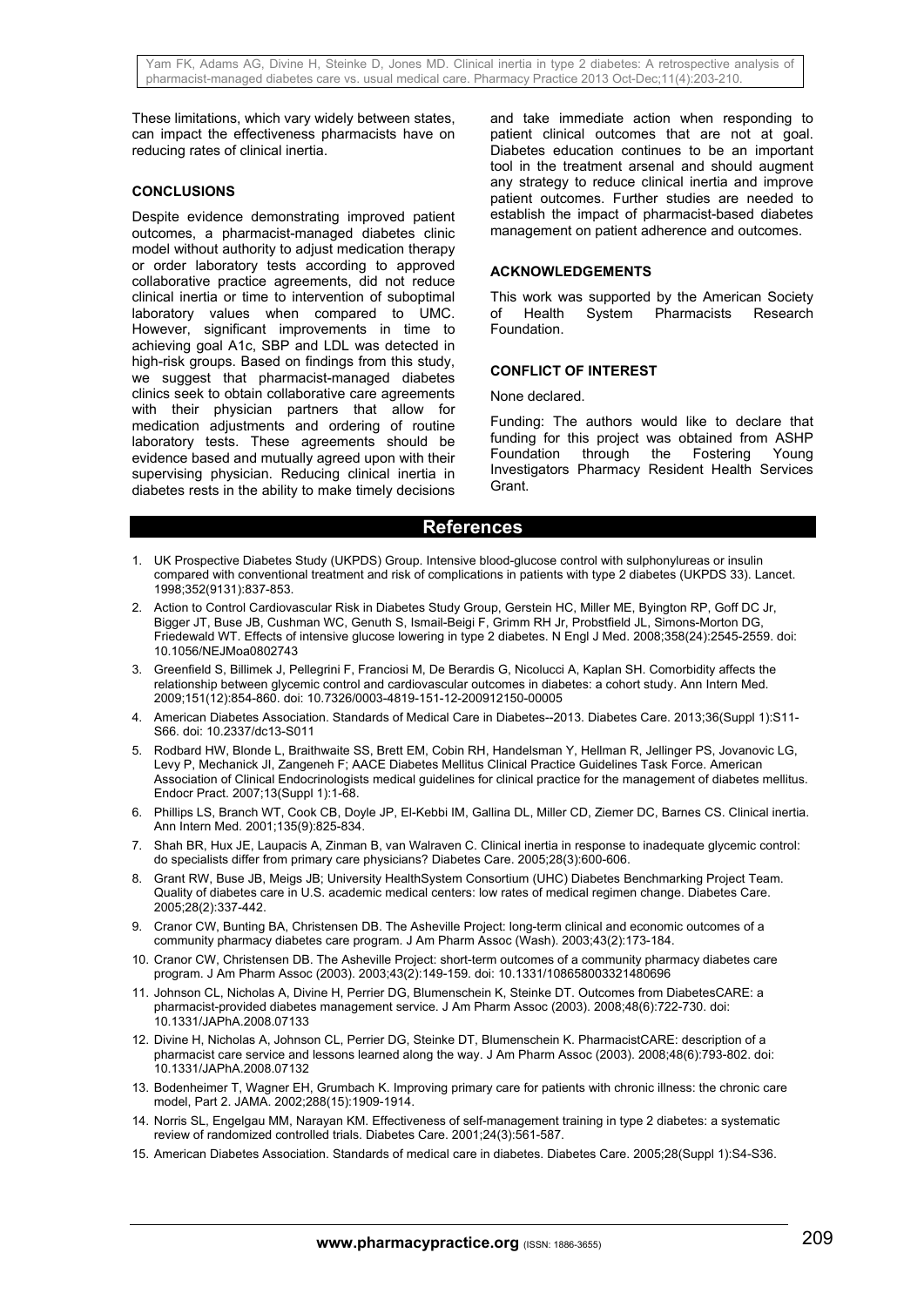These limitations, which vary widely between states, can impact the effectiveness pharmacists have on reducing rates of clinical inertia.

### **CONCLUSIONS**

Despite evidence demonstrating improved patient outcomes, a pharmacist-managed diabetes clinic model without authority to adjust medication therapy or order laboratory tests according to approved collaborative practice agreements, did not reduce clinical inertia or time to intervention of suboptimal laboratory values when compared to UMC. However, significant improvements in time to achieving goal A1c, SBP and LDL was detected in high-risk groups. Based on findings from this study, we suggest that pharmacist-managed diabetes clinics seek to obtain collaborative care agreements with their physician partners that allow for medication adjustments and ordering of routine laboratory tests. These agreements should be evidence based and mutually agreed upon with their supervising physician. Reducing clinical inertia in diabetes rests in the ability to make timely decisions

and take immediate action when responding to patient clinical outcomes that are not at goal. Diabetes education continues to be an important tool in the treatment arsenal and should augment any strategy to reduce clinical inertia and improve patient outcomes. Further studies are needed to establish the impact of pharmacist-based diabetes management on patient adherence and outcomes.

## **ACKNOWLEDGEMENTS**

This work was supported by the American Society<br>of Health System Pharmacists Research System Pharmacists Research Foundation.

#### **CONFLICT OF INTEREST**

None declared.

Funding: The authors would like to declare that funding for this project was obtained from ASHP<br>Foundation through the Fostering Young Foundation through the Fostering Young Investigators Pharmacy Resident Health Services Grant.

#### **References**

- 1. UK Prospective Diabetes Study (UKPDS) Group. Intensive blood-glucose control with sulphonylureas or insulin compared with conventional treatment and risk of complications in patients with type 2 diabetes (UKPDS 33). Lancet. 1998;352(9131):837-853.
- 2. Action to Control Cardiovascular Risk in Diabetes Study Group, Gerstein HC, Miller ME, Byington RP, Goff DC Jr, Bigger JT, Buse JB, Cushman WC, Genuth S, Ismail-Beigi F, Grimm RH Jr, Probstfield JL, Simons-Morton DG, Friedewald WT. Effects of intensive glucose lowering in type 2 diabetes. N Engl J Med. 2008;358(24):2545-2559. doi: 10.1056/NEJMoa0802743
- 3. Greenfield S, Billimek J, Pellegrini F, Franciosi M, De Berardis G, Nicolucci A, Kaplan SH. Comorbidity affects the relationship between glycemic control and cardiovascular outcomes in diabetes: a cohort study. Ann Intern Med. 2009;151(12):854-860. doi: 10.7326/0003-4819-151-12-200912150-00005
- 4. American Diabetes Association. Standards of Medical Care in Diabetes--2013. Diabetes Care. 2013;36(Suppl 1):S11- S66. doi: 10.2337/dc13-S011
- 5. Rodbard HW, Blonde L, Braithwaite SS, Brett EM, Cobin RH, Handelsman Y, Hellman R, Jellinger PS, Jovanovic LG, Levy P, Mechanick JI, Zangeneh F; AACE Diabetes Mellitus Clinical Practice Guidelines Task Force. American Association of Clinical Endocrinologists medical guidelines for clinical practice for the management of diabetes mellitus. Endocr Pract. 2007;13(Suppl 1):1-68.
- 6. Phillips LS, Branch WT, Cook CB, Doyle JP, El-Kebbi IM, Gallina DL, Miller CD, Ziemer DC, Barnes CS. Clinical inertia. Ann Intern Med. 2001;135(9):825-834.
- 7. Shah BR, Hux JE, Laupacis A, Zinman B, van Walraven C. Clinical inertia in response to inadequate glycemic control: do specialists differ from primary care physicians? Diabetes Care. 2005;28(3):600-606.
- 8. Grant RW, Buse JB, Meigs JB; University HealthSystem Consortium (UHC) Diabetes Benchmarking Project Team. Quality of diabetes care in U.S. academic medical centers: low rates of medical regimen change. Diabetes Care. 2005;28(2):337-442.
- 9. Cranor CW, Bunting BA, Christensen DB. The Asheville Project: long-term clinical and economic outcomes of a community pharmacy diabetes care program. J Am Pharm Assoc (Wash). 2003;43(2):173-184.
- 10. Cranor CW, Christensen DB. The Asheville Project: short-term outcomes of a community pharmacy diabetes care program. J Am Pharm Assoc (2003). 2003;43(2):149-159. doi: 10.1331/108658003321480696
- 11. Johnson CL, Nicholas A, Divine H, Perrier DG, Blumenschein K, Steinke DT. Outcomes from DiabetesCARE: a pharmacist-provided diabetes management service. J Am Pharm Assoc (2003). 2008;48(6):722-730. doi: 10.1331/JAPhA.2008.07133
- 12. Divine H, Nicholas A, Johnson CL, Perrier DG, Steinke DT, Blumenschein K. PharmacistCARE: description of a pharmacist care service and lessons learned along the way. J Am Pharm Assoc (2003). 2008;48(6):793-802. doi: 10.1331/JAPhA.2008.07132
- 13. Bodenheimer T, Wagner EH, Grumbach K. Improving primary care for patients with chronic illness: the chronic care model, Part 2. JAMA. 2002;288(15):1909-1914.
- 14. Norris SL, Engelgau MM, Narayan KM. Effectiveness of self-management training in type 2 diabetes: a systematic review of randomized controlled trials. Diabetes Care. 2001;24(3):561-587.
- 15. American Diabetes Association. Standards of medical care in diabetes. Diabetes Care. 2005;28(Suppl 1):S4-S36.